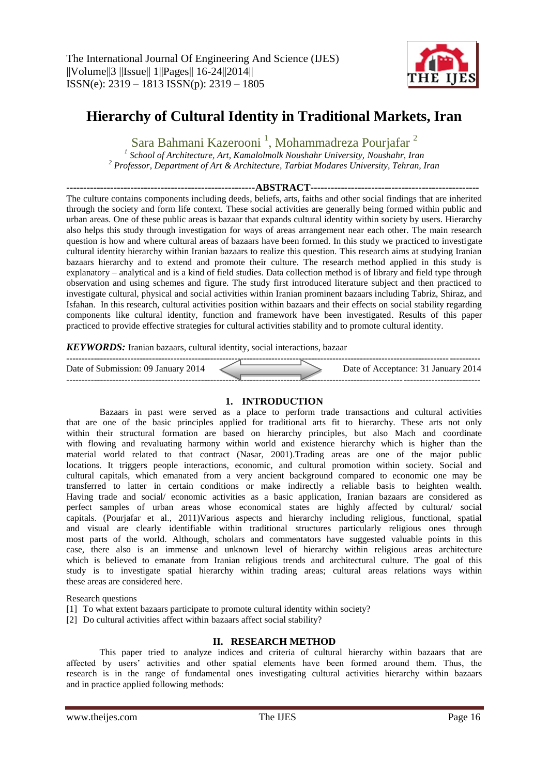

# **Hierarchy of Cultural Identity in Traditional Markets, Iran**

Sara Bahmani Kazerooni<sup>1</sup>, Mohammadreza Pourjafar<sup>2</sup>

*1 School of Architecture, Art, Kamalolmolk Noushahr University, Noushahr, Iran <sup>2</sup> Professor, Department of Art & Architecture, Tarbiat Modares University, Tehran, Iran*

**--------------------------------------------------------ABSTRACT--------------------------------------------------** The culture contains components including deeds, beliefs, arts, faiths and other social findings that are inherited through the society and form life context. These social activities are generally being formed within public and urban areas. One of these public areas is bazaar that expands cultural identity within society by users. Hierarchy also helps this study through investigation for ways of areas arrangement near each other. The main research question is how and where cultural areas of bazaars have been formed. In this study we practiced to investigate cultural identity hierarchy within Iranian bazaars to realize this question. This research aims at studying Iranian bazaars hierarchy and to extend and promote their culture. The research method applied in this study is explanatory – analytical and is a kind of field studies. Data collection method is of library and field type through observation and using schemes and figure. The study first introduced literature subject and then practiced to investigate cultural, physical and social activities within Iranian prominent bazaars including Tabriz, Shiraz, and Isfahan. In this research, cultural activities position within bazaars and their effects on social stability regarding components like cultural identity, function and framework have been investigated. Results of this paper practiced to provide effective strategies for cultural activities stability and to promote cultural identity.

## *KEYWORDS:* Iranian bazaars, cultural identity, social interactions, bazaar

| Date of Submission: 09 January 2014 | Date of Acceptance: 31 January 2014 |
|-------------------------------------|-------------------------------------|
|                                     |                                     |

## **1. INTRODUCTION**

Bazaars in past were served as a place to perform trade transactions and cultural activities that are one of the basic principles applied for traditional arts fit to hierarchy. These arts not only within their structural formation are based on hierarchy principles, but also Mach and coordinate with flowing and revaluating harmony within world and existence hierarchy which is higher than the material world related to that contract (Nasar, 2001).Trading areas are one of the major public locations. It triggers people interactions, economic, and cultural promotion within society. Social and cultural capitals, which emanated from a very ancient background compared to economic one may be transferred to latter in certain conditions or make indirectly a reliable basis to heighten wealth. Having trade and social/ economic activities as a basic application, Iranian bazaars are considered as perfect samples of urban areas whose economical states are highly affected by cultural/ social capitals. (Pourjafar et al., 2011)Various aspects and hierarchy including religious, functional, spatial and visual are clearly identifiable within traditional structures particularly religious ones through most parts of the world. Although, scholars and commentators have suggested valuable points in this case, there also is an immense and unknown level of hierarchy within religious areas architecture which is believed to emanate from Iranian religious trends and architectural culture. The goal of this study is to investigate spatial hierarchy within trading areas; cultural areas relations ways within these areas are considered here.

#### Research questions

- [1] To what extent bazaars participate to promote cultural identity within society?
- [2] Do cultural activities affect within bazaars affect social stability?

## **II. RESEARCH METHOD**

This paper tried to analyze indices and criteria of cultural hierarchy within bazaars that are affected by users' activities and other spatial elements have been formed around them. Thus, the research is in the range of fundamental ones investigating cultural activities hierarchy within bazaars and in practice applied following methods: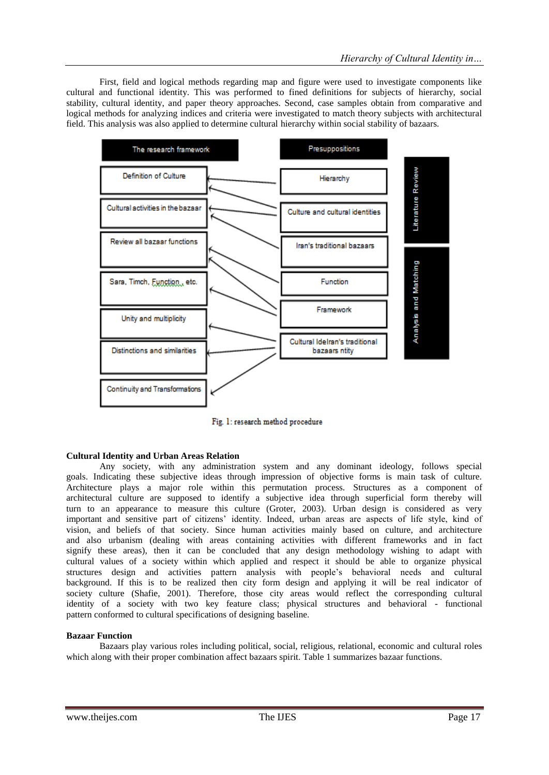First, field and logical methods regarding map and figure were used to investigate components like cultural and functional identity. This was performed to fined definitions for subjects of hierarchy, social stability, cultural identity, and paper theory approaches. Second, case samples obtain from comparative and logical methods for analyzing indices and criteria were investigated to match theory subjects with architectural field. This analysis was also applied to determine cultural hierarchy within social stability of bazaars.



Fig. 1: research method procedure

## **Cultural Identity and Urban Areas Relation**

Any society, with any administration system and any dominant ideology, follows special goals. Indicating these subjective ideas through impression of objective forms is main task of culture. Architecture plays a major role within this permutation process. Structures as a component of architectural culture are supposed to identify a subjective idea through superficial form thereby will turn to an appearance to measure this culture (Groter, 2003). Urban design is considered as very important and sensitive part of citizens' identity. Indeed, urban areas are aspects of life style, kind of vision, and beliefs of that society. Since human activities mainly based on culture, and architecture and also urbanism (dealing with areas containing activities with different frameworks and in fact signify these areas), then it can be concluded that any design methodology wishing to adapt with cultural values of a society within which applied and respect it should be able to organize physical structures design and activities pattern analysis with people's behavioral needs and cultural background. If this is to be realized then city form design and applying it will be real indicator of society culture (Shafie, 2001). Therefore, those city areas would reflect the corresponding cultural identity of a society with two key feature class; physical structures and behavioral - functional pattern conformed to cultural specifications of designing baseline.

#### **Bazaar Function**

Bazaars play various roles including political, social, religious, relational, economic and cultural roles which along with their proper combination affect bazaars spirit. Table 1 summarizes bazaar functions.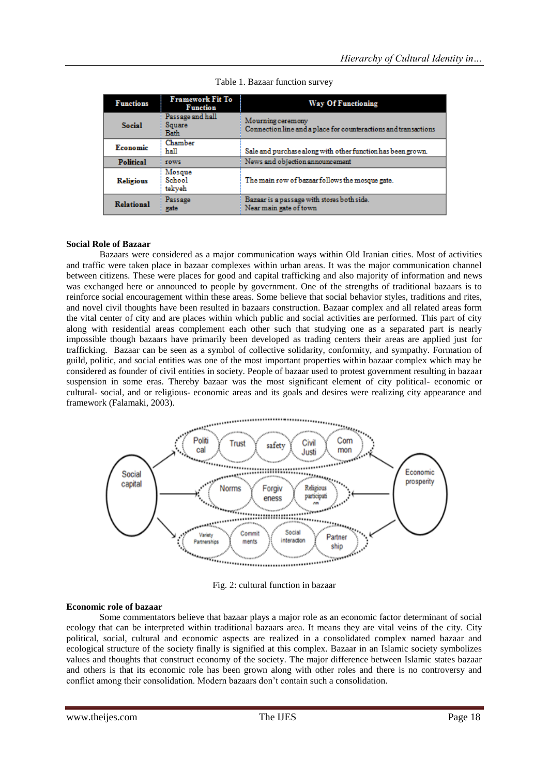| <b>Functions</b>  | Framework Fit To<br><b>Function</b>       | <b>Way Of Functioning</b>                                                            |
|-------------------|-------------------------------------------|--------------------------------------------------------------------------------------|
| <b>Social</b>     | Passage and hall<br>Square<br><b>Bath</b> | Mourning ceremony<br>Connection line and a place for counteractions and transactions |
| Economic          | Chamber<br>hall                           | Sale and purchase along with other function has been grown.                          |
| <b>Political</b>  | rows                                      | News and objection announcement                                                      |
| <b>Religious</b>  | Mosque<br>School<br>tekyeh                | The main row of bazaar follows the mosque gate.                                      |
| <b>Relational</b> | Passage<br>gate                           | Bazaar is a passage with stores both side.<br>Near main gate of town                 |

Table 1. Bazaar function survey

#### **Social Role of Bazaar**

Bazaars were considered as a major communication ways within Old Iranian cities. Most of activities and traffic were taken place in bazaar complexes within urban areas. It was the major communication channel between citizens. These were places for good and capital trafficking and also majority of information and news was exchanged here or announced to people by government. One of the strengths of traditional bazaars is to reinforce social encouragement within these areas. Some believe that social behavior styles, traditions and rites, and novel civil thoughts have been resulted in bazaars construction. Bazaar complex and all related areas form the vital center of city and are places within which public and social activities are performed. This part of city along with residential areas complement each other such that studying one as a separated part is nearly impossible though bazaars have primarily been developed as trading centers their areas are applied just for trafficking. Bazaar can be seen as a symbol of collective solidarity, conformity, and sympathy. Formation of guild, politic, and social entities was one of the most important properties within bazaar complex which may be considered as founder of civil entities in society. People of bazaar used to protest government resulting in bazaar suspension in some eras. Thereby bazaar was the most significant element of city political- economic or cultural- social, and or religious- economic areas and its goals and desires were realizing city appearance and framework (Falamaki, 2003).



Fig. 2: cultural function in bazaar

#### **Economic role of bazaar**

Some commentators believe that bazaar plays a major role as an economic factor determinant of social ecology that can be interpreted within traditional bazaars area. It means they are vital veins of the city. City political, social, cultural and economic aspects are realized in a consolidated complex named bazaar and ecological structure of the society finally is signified at this complex. Bazaar in an Islamic society symbolizes values and thoughts that construct economy of the society. The major difference between Islamic states bazaar and others is that its economic role has been grown along with other roles and there is no controversy and conflict among their consolidation. Modern bazaars don't contain such a consolidation.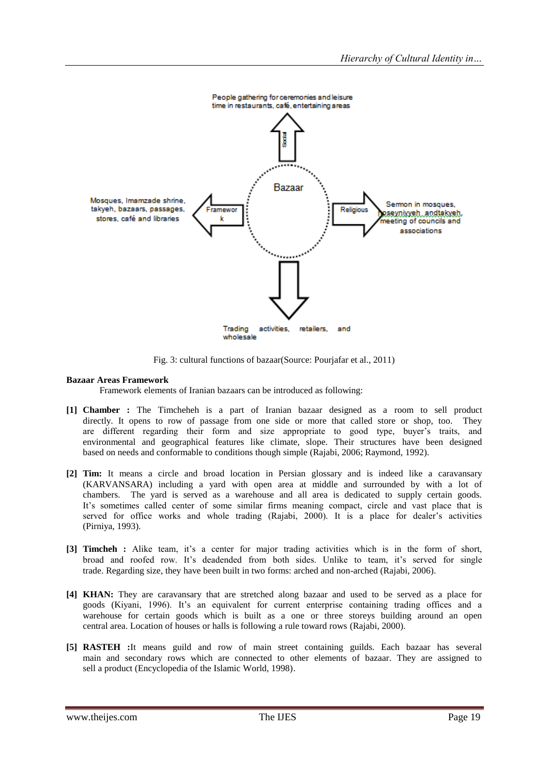

Fig. 3: cultural functions of bazaar(Source: Pourjafar et al., 2011)

#### **Bazaar Areas Framework**

Framework elements of Iranian bazaars can be introduced as following:

- **[1] Chamber :** The Timcheheh is a part of Iranian bazaar designed as a room to sell product directly. It opens to row of passage from one side or more that called store or shop, too. They are different regarding their form and size appropriate to good type, buyer's traits, and environmental and geographical features like climate, slope. Their structures have been designed based on needs and conformable to conditions though simple (Rajabi, 2006; Raymond, 1992).
- **[2] Tim:** It means a circle and broad location in Persian glossary and is indeed like a caravansary (KARVANSARA) including a yard with open area at middle and surrounded by with a lot of chambers. The yard is served as a warehouse and all area is dedicated to supply certain goods. It's sometimes called center of some similar firms meaning compact, circle and vast place that is served for office works and whole trading (Rajabi, 2000). It is a place for dealer's activities (Pirniya, 1993).
- **[3] Timcheh :** Alike team, it's a center for major trading activities which is in the form of short, broad and roofed row. It's deadended from both sides. Unlike to team, it's served for single trade. Regarding size, they have been built in two forms: arched and non-arched (Rajabi, 2006).
- **[4] KHAN:** They are caravansary that are stretched along bazaar and used to be served as a place for goods (Kiyani, 1996). It's an equivalent for current enterprise containing trading offices and a warehouse for certain goods which is built as a one or three storeys building around an open central area. Location of houses or halls is following a rule toward rows (Rajabi, 2000).
- **[5] RASTEH :**It means guild and row of main street containing guilds. Each bazaar has several main and secondary rows which are connected to other elements of bazaar. They are assigned to sell a product (Encyclopedia of the Islamic World, 1998).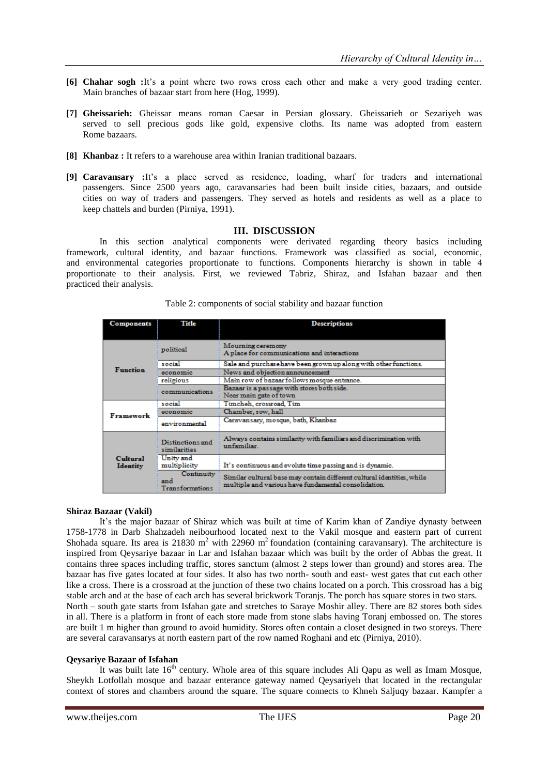- **[6] Chahar sogh :**It's a point where two rows cross each other and make a very good trading center. Main branches of bazaar start from here (Hog, 1999).
- **[7] Gheissarieh:** Gheissar means roman Caesar in Persian glossary. Gheissarieh or Sezariyeh was served to sell precious gods like gold, expensive cloths. Its name was adopted from eastern Rome bazaars.
- **[8] Khanbaz :** It refers to a warehouse area within Iranian traditional bazaars.
- **[9] Caravansary :**It's a place served as residence, loading, wharf for traders and international passengers. Since 2500 years ago, caravansaries had been built inside cities, bazaars, and outside cities on way of traders and passengers. They served as hotels and residents as well as a place to keep chattels and burden (Pirniya, 1991).

## **III. DISCUSSION**

In this section analytical components were derivated regarding theory basics including framework, cultural identity, and bazaar functions. Framework was classified as social, economic, and environmental categories proportionate to functions. Components hierarchy is shown in table 4 proportionate to their analysis. First, we reviewed Tabriz, Shiraz, and Isfahan bazaar and then practiced their analysis.

| <b>Components</b>                  | Title                                   | <b>Descriptions</b>                                                                                                            |  |
|------------------------------------|-----------------------------------------|--------------------------------------------------------------------------------------------------------------------------------|--|
|                                    |                                         |                                                                                                                                |  |
| <b>Function</b>                    | political                               | Mourning ceremony<br>A place for communications and interactions                                                               |  |
|                                    | social                                  | Sale and purchase have been grown up along with other functions.                                                               |  |
|                                    | economic                                | News and objection announcement                                                                                                |  |
|                                    | religious                               | Main row of bazaar follows mosque entrance.                                                                                    |  |
|                                    | <b>communications</b>                   | Bazaar is a passage with stores both side.<br>Near main gate of town                                                           |  |
| Framework                          | social                                  | Timcheh, crossroad, Tim                                                                                                        |  |
|                                    | economic                                | Chamber, row, hall                                                                                                             |  |
|                                    | environmental                           | Caravansary, mosque, bath, Khanbaz                                                                                             |  |
| <b>Cultural</b><br><b>Identity</b> | <b>Distinctions and</b><br>similarities | Always contains similarity with familiars and discrimination with<br>unfamiliar.                                               |  |
|                                    | Unity and<br>multiplicity               | It's continuous and evolute time passing and is dynamic.                                                                       |  |
|                                    | Continuity<br>and<br>Transformations    | Similar cultural base may contain different cultural identities, while<br>multiple and various have fundamental consolidation. |  |

Table 2: components of social stability and bazaar function

#### **Shiraz Bazaar (Vakil)**

It's the major bazaar of Shiraz which was built at time of Karim khan of Zandiye dynasty between 1758-1778 in Darb Shahzadeh neibourhood located next to the Vakil mosque and eastern part of current Shohada square. Its area is 21830 m<sup>2</sup> with 22960 m<sup>2</sup> foundation (containing caravansary). The architecture is inspired from Qeysariye bazaar in Lar and Isfahan bazaar which was built by the order of Abbas the great. It contains three spaces including traffic, stores sanctum (almost 2 steps lower than ground) and stores area. The bazaar has five gates located at four sides. It also has two north- south and east- west gates that cut each other like a cross. There is a crossroad at the junction of these two chains located on a porch. This crossroad has a big stable arch and at the base of each arch has several brickwork Toranjs. The porch has square stores in two stars. North – south gate starts from Isfahan gate and stretches to Saraye Moshir alley. There are 82 stores both sides in all. There is a platform in front of each store made from stone slabs having Toranj embossed on. The stores are built 1 m higher than ground to avoid humidity. Stores often contain a closet designed in two storeys. There are several caravansarys at north eastern part of the row named Roghani and etc (Pirniya, 2010).

## **Qeysariye Bazaar of Isfahan**

It was built late  $16<sup>th</sup>$  century. Whole area of this square includes Ali Qapu as well as Imam Mosque, Sheykh Lotfollah mosque and bazaar enterance gateway named Qeysariyeh that located in the rectangular context of stores and chambers around the square. The square connects to Khneh Saljuqy bazaar. Kampfer a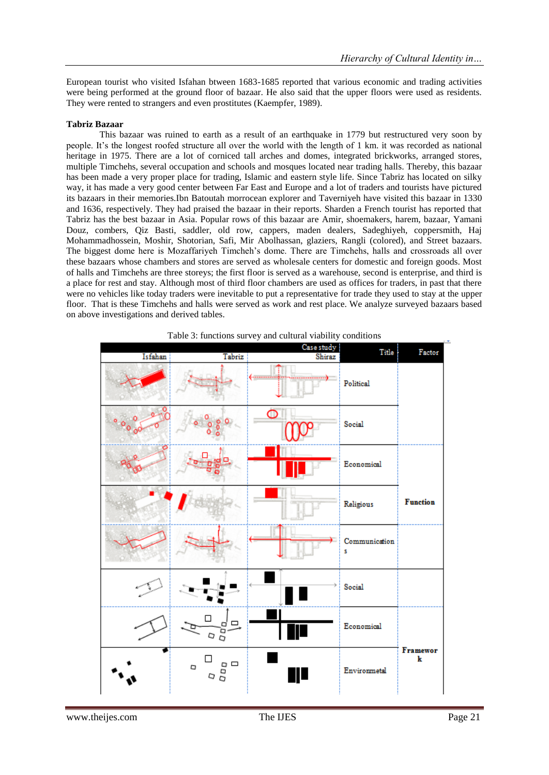European tourist who visited Isfahan btween 1683-1685 reported that various economic and trading activities were being performed at the ground floor of bazaar. He also said that the upper floors were used as residents. They were rented to strangers and even prostitutes (Kaempfer, 1989).

#### **Tabriz Bazaar**

This bazaar was ruined to earth as a result of an earthquake in 1779 but restructured very soon by people. It's the longest roofed structure all over the world with the length of 1 km. it was recorded as national heritage in 1975. There are a lot of corniced tall arches and domes, integrated brickworks, arranged stores, multiple Timchehs, several occupation and schools and mosques located near trading halls. Thereby, this bazaar has been made a very proper place for trading, Islamic and eastern style life. Since Tabriz has located on silky way, it has made a very good center between Far East and Europe and a lot of traders and tourists have pictured its bazaars in their memories.Ibn Batoutah morrocean explorer and Taverniyeh have visited this bazaar in 1330 and 1636, respectively. They had praised the bazaar in their reports. Sharden a French tourist has reported that Tabriz has the best bazaar in Asia. Popular rows of this bazaar are Amir, shoemakers, harem, bazaar, Yamani Douz, combers, Qiz Basti, saddler, old row, cappers, maden dealers, Sadeghiyeh, coppersmith, Haj Mohammadhossein, Moshir, Shotorian, Safi, Mir Abolhassan, glaziers, Rangli (colored), and Street bazaars. The biggest dome here is Mozaffariyeh Timcheh's dome. There are Timchehs, halls and crossroads all over these bazaars whose chambers and stores are served as wholesale centers for domestic and foreign goods. Most of halls and Timchehs are three storeys; the first floor is served as a warehouse, second is enterprise, and third is a place for rest and stay. Although most of third floor chambers are used as offices for traders, in past that there were no vehicles like today traders were inevitable to put a representative for trade they used to stay at the upper floor. That is these Timchehs and halls were served as work and rest place. We analyze surveyed bazaars based on above investigations and derived tables.



Table 3: functions survey and cultural viability conditions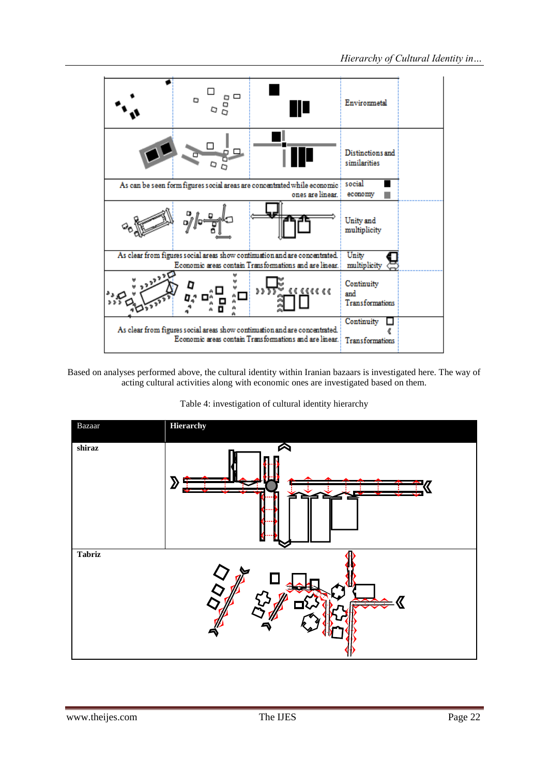

Based on analyses performed above, the cultural identity within Iranian bazaars is investigated here. The way of acting cultural activities along with economic ones are investigated based on them.

Table 4: investigation of cultural identity hierarchy

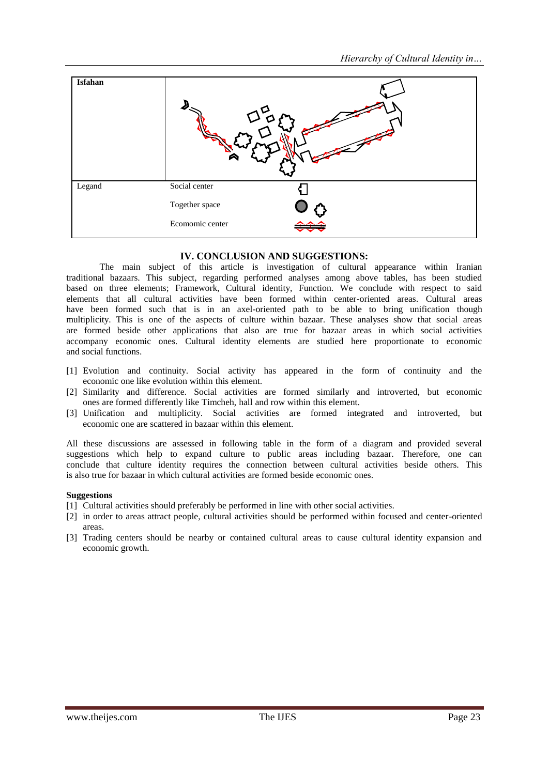

# **IV. CONCLUSION AND SUGGESTIONS:**

The main subject of this article is investigation of cultural appearance within Iranian traditional bazaars. This subject, regarding performed analyses among above tables, has been studied based on three elements; Framework, Cultural identity, Function. We conclude with respect to said elements that all cultural activities have been formed within center-oriented areas. Cultural areas have been formed such that is in an axel-oriented path to be able to bring unification though multiplicity. This is one of the aspects of culture within bazaar. These analyses show that social areas are formed beside other applications that also are true for bazaar areas in which social activities accompany economic ones. Cultural identity elements are studied here proportionate to economic and social functions.

- [1] Evolution and continuity. Social activity has appeared in the form of continuity and the economic one like evolution within this element.
- [2] Similarity and difference. Social activities are formed similarly and introverted, but economic ones are formed differently like Timcheh, hall and row within this element.
- [3] Unification and multiplicity. Social activities are formed integrated and introverted, but economic one are scattered in bazaar within this element.

All these discussions are assessed in following table in the form of a diagram and provided several suggestions which help to expand culture to public areas including bazaar. Therefore, one can conclude that culture identity requires the connection between cultural activities beside others. This is also true for bazaar in which cultural activities are formed beside economic ones.

#### **Suggestions**

- [1] Cultural activities should preferably be performed in line with other social activities.
- [2] in order to areas attract people, cultural activities should be performed within focused and center-oriented areas.
- [3] Trading centers should be nearby or contained cultural areas to cause cultural identity expansion and economic growth.